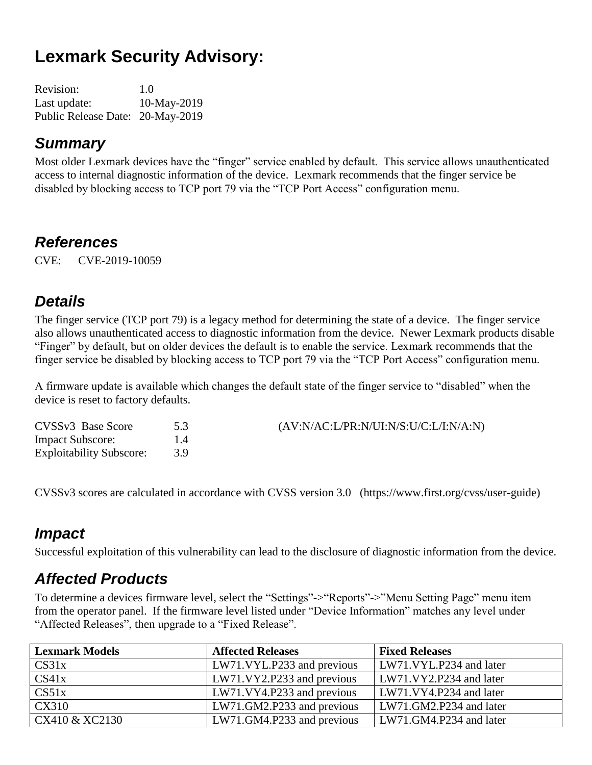# **Lexmark Security Advisory:**

| <b>Revision:</b>                 | 1.0         |
|----------------------------------|-------------|
| Last update:                     | 10-May-2019 |
| Public Release Date: 20-May-2019 |             |

#### *Summary*

Most older Lexmark devices have the "finger" service enabled by default. This service allows unauthenticated access to internal diagnostic information of the device. Lexmark recommends that the finger service be disabled by blocking access to TCP port 79 via the "TCP Port Access" configuration menu.

#### *References*

CVE: CVE-2019-10059

### *Details*

The finger service (TCP port 79) is a legacy method for determining the state of a device. The finger service also allows unauthenticated access to diagnostic information from the device. Newer Lexmark products disable "Finger" by default, but on older devices the default is to enable the service. Lexmark recommends that the finger service be disabled by blocking access to TCP port 79 via the "TCP Port Access" configuration menu.

A firmware update is available which changes the default state of the finger service to "disabled" when the device is reset to factory defaults.

| CVSSv3 Base Score               |    | (AV:N/AC:L/PR:N/UI:N/S:U/C:L/I:N/A:N) |
|---------------------------------|----|---------------------------------------|
| <b>Impact Subscore:</b>         | 14 |                                       |
| <b>Exploitability Subscore:</b> | 39 |                                       |

CVSSv3 scores are calculated in accordance with CVSS version 3.0 (https://www.first.org/cvss/user-guide)

#### *Impact*

Successful exploitation of this vulnerability can lead to the disclosure of diagnostic information from the device.

# *Affected Products*

To determine a devices firmware level, select the "Settings"->"Reports"->"Menu Setting Page" menu item from the operator panel. If the firmware level listed under "Device Information" matches any level under "Affected Releases", then upgrade to a "Fixed Release".

| <b>Lexmark Models</b> | <b>Affected Releases</b>   | <b>Fixed Releases</b>   |
|-----------------------|----------------------------|-------------------------|
| CS31x                 | LW71.VYL.P233 and previous | LW71.VYL.P234 and later |
| CS41x                 | LW71.VY2.P233 and previous | LW71.VY2.P234 and later |
| CS51x                 | LW71.VY4.P233 and previous | LW71.VY4.P234 and later |
| CX310                 | LW71.GM2.P233 and previous | LW71.GM2.P234 and later |
| CX410 & XC2130        | LW71.GM4.P233 and previous | LW71.GM4.P234 and later |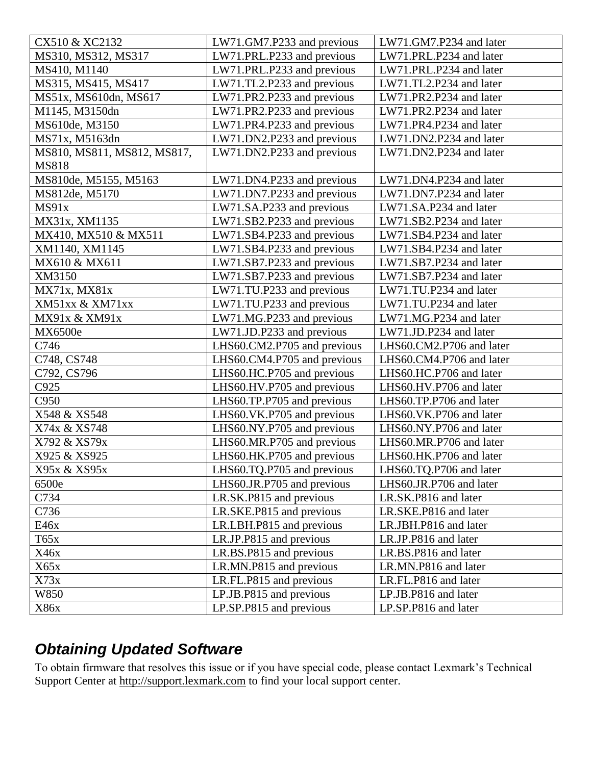| CX510 & XC2132              | LW71.GM7.P233 and previous  | LW71.GM7.P234 and later  |
|-----------------------------|-----------------------------|--------------------------|
| MS310, MS312, MS317         | LW71.PRL.P233 and previous  | LW71.PRL.P234 and later  |
| MS410, M1140                | LW71.PRL.P233 and previous  | LW71.PRL.P234 and later  |
| MS315, MS415, MS417         | LW71.TL2.P233 and previous  | LW71.TL2.P234 and later  |
| MS51x, MS610dn, MS617       | LW71.PR2.P233 and previous  | LW71.PR2.P234 and later  |
| M1145, M3150dn              | LW71.PR2.P233 and previous  | LW71.PR2.P234 and later  |
| MS610de, M3150              | LW71.PR4.P233 and previous  | LW71.PR4.P234 and later  |
| MS71x, M5163dn              | LW71.DN2.P233 and previous  | LW71.DN2.P234 and later  |
| MS810, MS811, MS812, MS817, | LW71.DN2.P233 and previous  | LW71.DN2.P234 and later  |
| <b>MS818</b>                |                             |                          |
| MS810de, M5155, M5163       | LW71.DN4.P233 and previous  | LW71.DN4.P234 and later  |
| MS812de, M5170              | LW71.DN7.P233 and previous  | LW71.DN7.P234 and later  |
| MS91x                       | LW71.SA.P233 and previous   | LW71.SA.P234 and later   |
| MX31x, XM1135               | LW71.SB2.P233 and previous  | LW71.SB2.P234 and later  |
| MX410, MX510 & MX511        | LW71.SB4.P233 and previous  | LW71.SB4.P234 and later  |
| XM1140, XM1145              | LW71.SB4.P233 and previous  | LW71.SB4.P234 and later  |
| MX610 & MX611               | LW71.SB7.P233 and previous  | LW71.SB7.P234 and later  |
| XM3150                      | LW71.SB7.P233 and previous  | LW71.SB7.P234 and later  |
| MX71x, MX81x                | LW71.TU.P233 and previous   | LW71.TU.P234 and later   |
| XM51xx & XM71xx             | LW71.TU.P233 and previous   | LW71.TU.P234 and later   |
| MX91x & XM91x               | LW71.MG.P233 and previous   | LW71.MG.P234 and later   |
| MX6500e                     | LW71.JD.P233 and previous   | LW71.JD.P234 and later   |
| C746                        | LHS60.CM2.P705 and previous | LHS60.CM2.P706 and later |
| C748, CS748                 | LHS60.CM4.P705 and previous | LHS60.CM4.P706 and later |
| C792, CS796                 | LHS60.HC.P705 and previous  | LHS60.HC.P706 and later  |
| C925                        | LHS60.HV.P705 and previous  | LHS60.HV.P706 and later  |
| C950                        | LHS60.TP.P705 and previous  | LHS60.TP.P706 and later  |
| X548 & XS548                | LHS60.VK.P705 and previous  | LHS60.VK.P706 and later  |
| X74x & XS748                | LHS60.NY.P705 and previous  | LHS60.NY.P706 and later  |
| X792 & XS79x                | LHS60.MR.P705 and previous  | LHS60.MR.P706 and later  |
| X925 & XS925                | LHS60.HK.P705 and previous  | LHS60.HK.P706 and later  |
| X95x & XS95x                | LHS60.TQ.P705 and previous  | LHS60.TQ.P706 and later  |
| 6500e                       | LHS60.JR.P705 and previous  | LHS60.JR.P706 and later  |
| C734                        | LR.SK.P815 and previous     | LR.SK.P816 and later     |
| C736                        | LR.SKE.P815 and previous    | LR.SKE.P816 and later    |
| E46x                        | LR.LBH.P815 and previous    | LR.JBH.P816 and later    |
| T65x                        | LR.JP.P815 and previous     | LR.JP.P816 and later     |
| X46x                        | LR.BS.P815 and previous     | LR.BS.P816 and later     |
| X65x                        | LR.MN.P815 and previous     | LR.MN.P816 and later     |
| X73x                        | LR.FL.P815 and previous     | LR.FL.P816 and later     |
| W850                        | LP.JB.P815 and previous     | LP.JB.P816 and later     |
| X86x                        | LP.SP.P815 and previous     | LP.SP.P816 and later     |

# *Obtaining Updated Software*

To obtain firmware that resolves this issue or if you have special code, please contact Lexmark's Technical Support Center at [http://support.lexmark.com](http://support.lexmark.com/) to find your local support center.